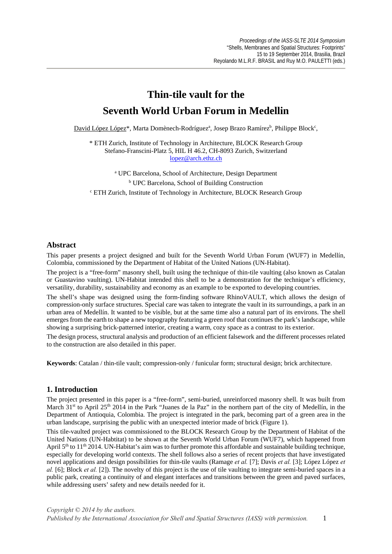# **Thin-tile vault for the Seventh World Urban Forum in Medellin**

David López López<sup>\*</sup>, Marta Domènech-Rodríguez<sup>a</sup>, Josep Brazo Ramírez<sup>b</sup>, Philippe Block<sup>c</sup>,

\* ETH Zurich, Institute of Technology in Architecture, BLOCK Research Group Stefano-Franscini-Platz 5, HIL H 46.2, CH-8093 Zurich, Switzerland lopez@arch.ethz.ch

a UPC Barcelona, School of Architecture, Design Department b UPC Barcelona, School of Building Construction c ETH Zurich, Institute of Technology in Architecture, BLOCK Research Group

## **Abstract**

This paper presents a project designed and built for the Seventh World Urban Forum (WUF7) in Medellín, Colombia, commissioned by the Department of Habitat of the United Nations (UN-Habitat).

The project is a "free-form" masonry shell, built using the technique of thin-tile vaulting (also known as Catalan or Guastavino vaulting). UN-Habitat intended this shell to be a demonstration for the technique's efficiency, versatility, durability, sustainability and economy as an example to be exported to developing countries.

The shell's shape was designed using the form-finding software RhinoVAULT, which allows the design of compression-only surface structures. Special care was taken to integrate the vault in its surroundings, a park in an urban area of Medellín. It wanted to be visible, but at the same time also a natural part of its environs. The shell emerges from the earth to shape a new topography featuring a green roof that continues the park's landscape, while showing a surprising brick-patterned interior, creating a warm, cozy space as a contrast to its exterior.

The design process, structural analysis and production of an efficient falsework and the different processes related to the construction are also detailed in this paper.

**Keywords**: Catalan / thin-tile vault; compression-only / funicular form; structural design; brick architecture.

## **1. Introduction**

The project presented in this paper is a "free-form", semi-buried, unreinforced masonry shell. It was built from March 31<sup>st</sup> to April 25<sup>th</sup> 2014 in the Park "Juanes de la Paz" in the northern part of the city of Medellín, in the Department of Antioquia, Colombia. The project is integrated in the park, becoming part of a green area in the urban landscape, surprising the public with an unexpected interior made of brick (Figure 1).

This tile-vaulted project was commissioned to the BLOCK Research Group by the Department of Habitat of the United Nations (UN-Habtitat) to be shown at the Seventh World Urban Forum (WUF7), which happened from April  $5<sup>th</sup>$  to  $11<sup>th</sup>$  2014. UN-Habitat's aim was to further promote this affordable and sustainable building technique, especially for developing world contexts. The shell follows also a series of recent projects that have investigated novel applications and design possibilities for thin-tile vaults (Ramage *et al.* [7]; Davis *et al.* [3]; López López *et al.* [6]; Block *et al.* [2]). The novelty of this project is the use of tile vaulting to integrate semi-buried spaces in a public park, creating a continuity of and elegant interfaces and transitions between the green and paved surfaces, while addressing users' safety and new details needed for it.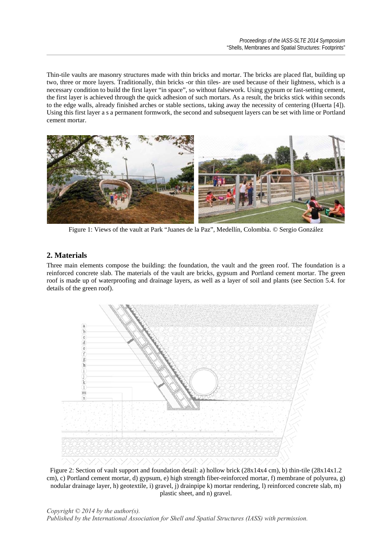Thin-tile vaults are masonry structures made with thin bricks and mortar. The bricks are placed flat, building up two, three or more layers. Traditionally, thin bricks -or thin tiles- are used because of their lightness, which is a necessary condition to build the first layer "in space", so without falsework. Using gypsum or fast-setting cement, the first layer is achieved through the quick adhesion of such mortars. As a result, the bricks stick within seconds to the edge walls, already finished arches or stable sections, taking away the necessity of centering (Huerta [4]). Using this first layer a s a permanent formwork, the second and subsequent layers can be set with lime or Portland cement mortar.



Figure 1: Views of the vault at Park "Juanes de la Paz", Medellín, Colombia. © Sergio González

# **2. Materials**

Three main elements compose the building: the foundation, the vault and the green roof. The foundation is a reinforced concrete slab. The materials of the vault are bricks, gypsum and Portland cement mortar. The green roof is made up of waterproofing and drainage layers, as well as a layer of soil and plants (see Section 5.4. for details of the green roof).



Figure 2: Section of vault support and foundation detail: a) hollow brick (28x14x4 cm), b) thin-tile (28x14x1.2 cm), c) Portland cement mortar, d) gypsum, e) high strength fiber-reinforced mortar, f) membrane of polyurea, g) nodular drainage layer, h) geotextile, i) gravel, j) drainpipe k) mortar rendering, l) reinforced concrete slab, m) plastic sheet, and n) gravel.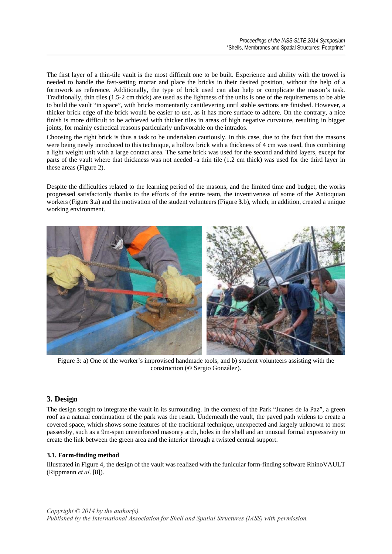The first layer of a thin-tile vault is the most difficult one to be built. Experience and ability with the trowel is needed to handle the fast-setting mortar and place the bricks in their desired position, without the help of a formwork as reference. Additionally, the type of brick used can also help or complicate the mason's task. Traditionally, thin tiles (1.5-2 cm thick) are used as the lightness of the units is one of the requirements to be able to build the vault "in space", with bricks momentarily cantilevering until stable sections are finished. However, a thicker brick edge of the brick would be easier to use, as it has more surface to adhere. On the contrary, a nice finish is more difficult to be achieved with thicker tiles in areas of high negative curvature, resulting in bigger joints, for mainly esthetical reasons particularly unfavorable on the intrados.

Choosing the right brick is thus a task to be undertaken cautiously. In this case, due to the fact that the masons were being newly introduced to this technique, a hollow brick with a thickness of 4 cm was used, thus combining a light weight unit with a large contact area. The same brick was used for the second and third layers, except for parts of the vault where that thickness was not needed -a thin tile (1.2 cm thick) was used for the third layer in these areas (Figure 2).

Despite the difficulties related to the learning period of the masons, and the limited time and budget, the works progressed satisfactorily thanks to the efforts of the entire team, the inventiveness of some of the Antioquian workers (Figure **3**.a) and the motivation of the student volunteers (Figure **3**.b), which, in addition, created a unique working environment.



Figure 3: a) One of the worker's improvised handmade tools, and b) student volunteers assisting with the construction (© Sergio González).

# **3. Design**

The design sought to integrate the vault in its surrounding. In the context of the Park "Juanes de la Paz", a green roof as a natural continuation of the park was the result. Underneath the vault, the paved path widens to create a covered space, which shows some features of the traditional technique, unexpected and largely unknown to most passersby, such as a 9m-span unreinforced masonry arch, holes in the shell and an unusual formal expressivity to create the link between the green area and the interior through a twisted central support.

# **3.1. Form-finding method**

Illustrated in Figure 4, the design of the vault was realized with the funicular form-finding software RhinoVAULT (Rippmann *et al*. [8]).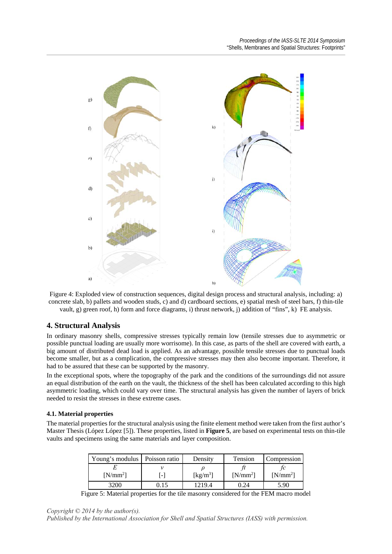

Figure 4: Exploded view of construction sequences, digital design process and structural analysis, including: a) concrete slab, b) pallets and wooden studs, c) and d) cardboard sections, e) spatial mesh of steel bars, f) thin-tile vault, g) green roof, h) form and force diagrams, i) thrust network, j) addition of "fins", k) FE analysis.

# **4. Structural Analysis**

In ordinary masonry shells, compressive stresses typically remain low (tensile stresses due to asymmetric or possible punctual loading are usually more worrisome). In this case, as parts of the shell are covered with earth, a big amount of distributed dead load is applied. As an advantage, possible tensile stresses due to punctual loads become smaller, but as a complication, the compressive stresses may then also become important. Therefore, it had to be assured that these can be supported by the masonry.

In the exceptional spots, where the topography of the park and the conditions of the surroundings did not assure an equal distribution of the earth on the vault, the thickness of the shell has been calculated according to this high asymmetric loading, which could vary over time. The structural analysis has given the number of layers of brick needed to resist the stresses in these extreme cases.

## **4.1. Material properties**

The material properties for the structural analysis using the finite element method were taken from the first author's Master Thesis (López López [5]). These properties, listed in **Figure 5**, are based on experimental tests on thin-tile vaults and specimens using the same materials and layer composition.

| Young's modulus   Poisson ratio |      | Density                        | Tension    | Compression |
|---------------------------------|------|--------------------------------|------------|-------------|
| $[N/mm^2]$                      |      | $\left[\mathrm{kg/m^3}\right]$ | $[N/mm^2]$ | $[N/mm^2]$  |
| 200                             | 1.15 | 12194                          | 0.24       | 5.90        |

Figure 5: Material properties for the tile masonry considered for the FEM macro model

*Copyright © 2014 by the author(s).* 

*Published by the International Association for Shell and Spatial Structures (IASS) with permission.*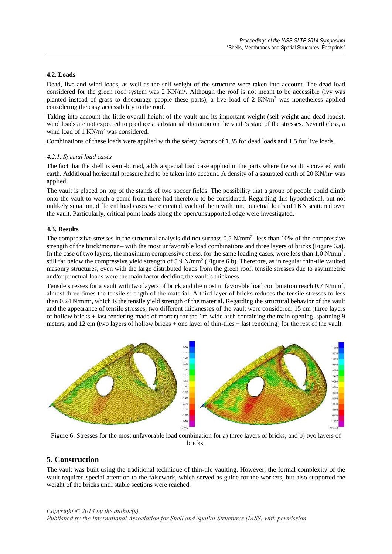## **4.2. Loads**

Dead, live and wind loads, as well as the self-weight of the structure were taken into account. The dead load considered for the green roof system was  $2 \text{ KN/m}^2$ . Although the roof is not meant to be accessible (ivy was planted instead of grass to discourage people these parts), a live load of 2 KN/m<sup>2</sup> was nonetheless applied considering the easy accessibility to the roof.

Taking into account the little overall height of the vault and its important weight (self-weight and dead loads), wind loads are not expected to produce a substantial alteration on the vault's state of the stresses. Nevertheless, a wind load of 1 KN/m<sup>2</sup> was considered.

Combinations of these loads were applied with the safety factors of 1.35 for dead loads and 1.5 for live loads.

#### *4.2.1. Special load cases*

The fact that the shell is semi-buried, adds a special load case applied in the parts where the vault is covered with earth. Additional horizontal pressure had to be taken into account. A density of a saturated earth of 20 KN/ $m<sup>3</sup>$  was applied.

The vault is placed on top of the stands of two soccer fields. The possibility that a group of people could climb onto the vault to watch a game from there had therefore to be considered. Regarding this hypothetical, but not unlikely situation, different load cases were created, each of them with nine punctual loads of 1KN scattered over the vault. Particularly, critical point loads along the open/unsupported edge were investigated.

## **4.3. Results**

The compressive stresses in the structural analysis did not surpass  $0.5$  N/mm<sup>2</sup> -less than 10% of the compressive strength of the brick/mortar – with the most unfavorable load combinations and three layers of bricks (Figure 6.a). In the case of two layers, the maximum compressive stress, for the same loading cases, were less than  $1.0 \text{ N/mm}^2$ , still far below the compressive yield strength of 5.9 N/mm<sup>2</sup> (Figure 6.b). Therefore, as in regular thin-tile vaulted masonry structures, even with the large distributed loads from the green roof, tensile stresses due to asymmetric and/or punctual loads were the main factor deciding the vault's thickness.

Tensile stresses for a vault with two layers of brick and the most unfavorable load combination reach 0.7 N/mm<sup>2</sup>, almost three times the tensile strength of the material. A third layer of bricks reduces the tensile stresses to less than 0.24 N/mm<sup>2</sup>, which is the tensile yield strength of the material. Regarding the structural behavior of the vault and the appearance of tensile stresses, two different thicknesses of the vault were considered: 15 cm (three layers of hollow bricks + last rendering made of mortar) for the 1m-wide arch containing the main opening, spanning 9 meters; and 12 cm (two layers of hollow bricks + one layer of thin-tiles + last rendering) for the rest of the vault.



Figure 6: Stresses for the most unfavorable load combination for a) three layers of bricks, and b) two layers of bricks.

# **5. Construction**

The vault was built using the traditional technique of thin-tile vaulting. However, the formal complexity of the vault required special attention to the falsework, which served as guide for the workers, but also supported the weight of the bricks until stable sections were reached.

*Copyright © 2014 by the author(s).* 

*Published by the International Association for Shell and Spatial Structures (IASS) with permission.*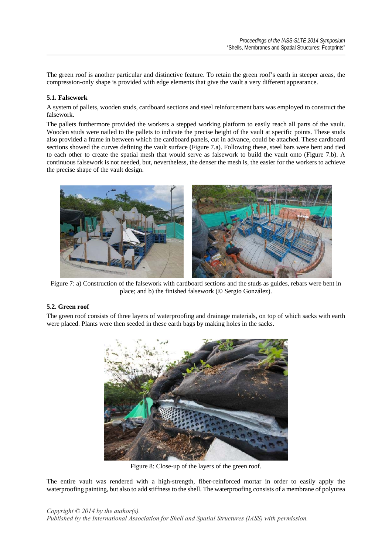The green roof is another particular and distinctive feature. To retain the green roof's earth in steeper areas, the compression-only shape is provided with edge elements that give the vault a very different appearance.

## **5.1. Falsework**

A system of pallets, wooden studs, cardboard sections and steel reinforcement bars was employed to construct the falsework.

The pallets furthermore provided the workers a stepped working platform to easily reach all parts of the vault. Wooden studs were nailed to the pallets to indicate the precise height of the vault at specific points. These studs also provided a frame in between which the cardboard panels, cut in advance, could be attached. These cardboard sections showed the curves defining the vault surface (Figure 7.a). Following these, steel bars were bent and tied to each other to create the spatial mesh that would serve as falsework to build the vault onto (Figure 7.b). A continuous falsework is not needed, but, nevertheless, the denser the mesh is, the easier for the workers to achieve the precise shape of the vault design.



Figure 7: a) Construction of the falsework with cardboard sections and the studs as guides, rebars were bent in place; and b) the finished falsework (© Sergio González).

# **5.2. Green roof**

The green roof consists of three layers of waterproofing and drainage materials, on top of which sacks with earth were placed. Plants were then seeded in these earth bags by making holes in the sacks.



Figure 8: Close-up of the layers of the green roof.

The entire vault was rendered with a high-strength, fiber-reinforced mortar in order to easily apply the waterproofing painting, but also to add stiffness to the shell. The waterproofing consists of a membrane of polyurea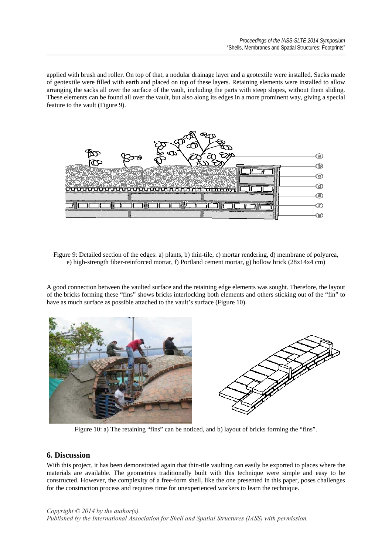applied with brush and roller. On top of that, a nodular drainage layer and a geotextile were installed. Sacks made of geotextile were filled with earth and placed on top of these layers. Retaining elements were installed to allow arranging the sacks all over the surface of the vault, including the parts with steep slopes, without them sliding. These elements can be found all over the vault, but also along its edges in a more prominent way, giving a special feature to the vault (Figure 9).



Figure 9: Detailed section of the edges: a) plants, b) thin-tile, c) mortar rendering, d) membrane of polyurea, e) high-strength fiber-reinforced mortar, f) Portland cement mortar, g) hollow brick (28x14x4 cm)

A good connection between the vaulted surface and the retaining edge elements was sought. Therefore, the layout of the bricks forming these "fins" shows bricks interlocking both elements and others sticking out of the "fin" to have as much surface as possible attached to the vault's surface (Figure 10).



Figure 10: a) The retaining "fins" can be noticed, and b) layout of bricks forming the "fins".

# **6. Discussion**

With this project, it has been demonstrated again that thin-tile vaulting can easily be exported to places where the materials are available. The geometries traditionally built with this technique were simple and easy to be constructed. However, the complexity of a free-form shell, like the one presented in this paper, poses challenges for the construction process and requires time for unexperienced workers to learn the technique.